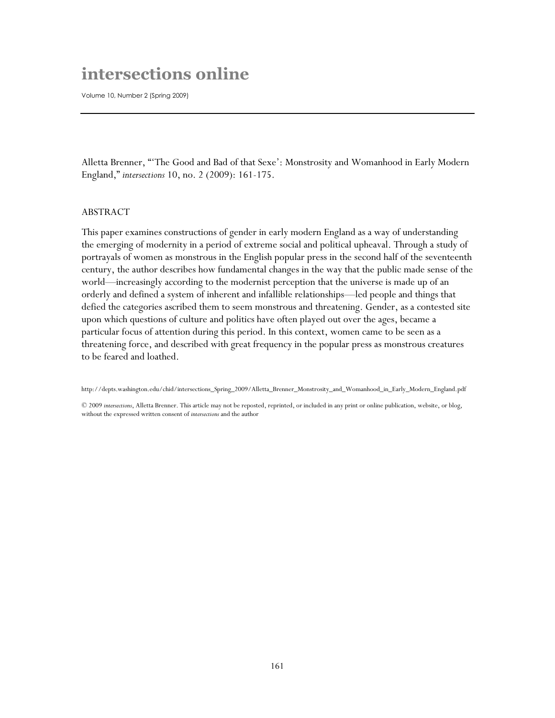## **intersections online**

Volume 10, Number 2 (Spring 2009)

Alletta Brenner, ""The Good and Bad of that Sexe": Monstrosity and Womanhood in Early Modern England," *intersections* 10, no. 2 (2009): 161-175.

## ABSTRACT

This paper examines constructions of gender in early modern England as a way of understanding the emerging of modernity in a period of extreme social and political upheaval. Through a study of portrayals of women as monstrous in the English popular press in the second half of the seventeenth century, the author describes how fundamental changes in the way that the public made sense of the world—increasingly according to the modernist perception that the universe is made up of an orderly and defined a system of inherent and infallible relationships—led people and things that defied the categories ascribed them to seem monstrous and threatening. Gender, as a contested site upon which questions of culture and politics have often played out over the ages, became a particular focus of attention during this period. In this context, women came to be seen as a threatening force, and described with great frequency in the popular press as monstrous creatures to be feared and loathed.

http://depts.washington.edu/chid/intersections\_Spring\_2009/Alletta\_Brenner\_Monstrosity\_and\_Womanhood\_in\_Early\_Modern\_England.pdf

© 2009 *intersections*, Alletta Brenner. This article may not be reposted, reprinted, or included in any print or online publication, website, or blog, without the expressed written consent of *intersections* and the author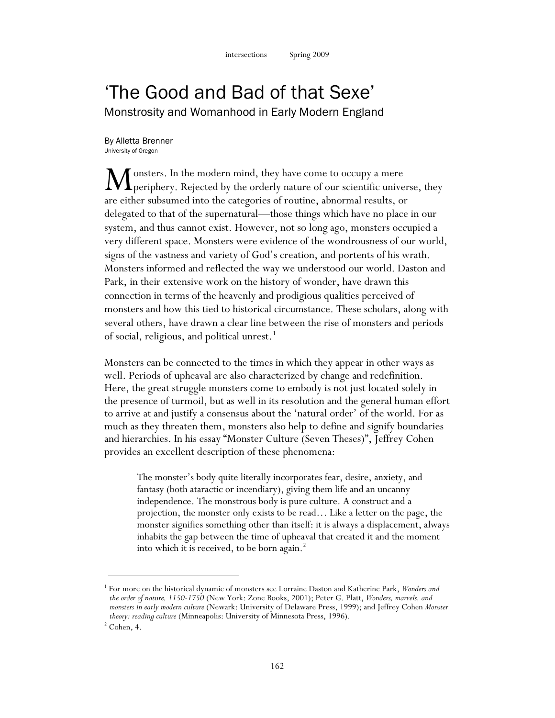## 'The Good and Bad of that Sexe' Monstrosity and Womanhood in Early Modern England

By Alletta Brenner University of Oregon

onsters. In the modern mind, they have come to occupy a mere Monsters. In the modern mind, they have come to occupy a mere<br>
periphery. Rejected by the orderly nature of our scientific universe, they are either subsumed into the categories of routine, abnormal results, or delegated to that of the supernatural—those things which have no place in our system, and thus cannot exist. However, not so long ago, monsters occupied a very different space. Monsters were evidence of the wondrousness of our world, signs of the vastness and variety of God's creation, and portents of his wrath. Monsters informed and reflected the way we understood our world. Daston and Park, in their extensive work on the history of wonder, have drawn this connection in terms of the heavenly and prodigious qualities perceived of monsters and how this tied to historical circumstance. These scholars, along with several others, have drawn a clear line between the rise of monsters and periods of social, religious, and political unrest.<sup>1</sup>

Monsters can be connected to the times in which they appear in other ways as well. Periods of upheaval are also characterized by change and redefinition. Here, the great struggle monsters come to embody is not just located solely in the presence of turmoil, but as well in its resolution and the general human effort to arrive at and justify a consensus about the 'natural order' of the world. For as much as they threaten them, monsters also help to define and signify boundaries and hierarchies. In his essay "Monster Culture (Seven Theses)", Jeffrey Cohen provides an excellent description of these phenomena:

The monster's body quite literally incorporates fear, desire, anxiety, and fantasy (both ataractic or incendiary), giving them life and an uncanny independence. The monstrous body is pure culture. A construct and a projection, the monster only exists to be read… Like a letter on the page, the monster signifies something other than itself: it is always a displacement, always inhabits the gap between the time of upheaval that created it and the moment into which it is received, to be born again.<sup>2</sup>

<sup>1</sup> For more on the historical dynamic of monsters see Lorraine Daston and Katherine Park, *Wonders and the order of nature, 1150-1750* (New York: Zone Books, 2001); Peter G. Platt, *Wonders, marvels, and monsters in early modern culture* (Newark: University of Delaware Press, 1999); and Jeffrey Cohen *Monster theory: reading culture* (Minneapolis: University of Minnesota Press, 1996).

 $2^2$  Cohen, 4.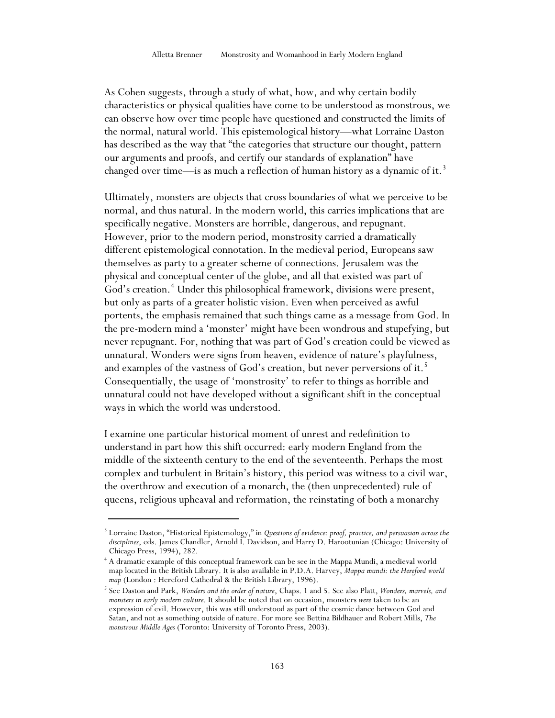As Cohen suggests, through a study of what, how, and why certain bodily characteristics or physical qualities have come to be understood as monstrous, we can observe how over time people have questioned and constructed the limits of the normal, natural world. This epistemological history—what Lorraine Daston has described as the way that "the categories that structure our thought, pattern our arguments and proofs, and certify our standards of explanation" have changed over time—is as much a reflection of human history as a dynamic of it.<sup>3</sup>

Ultimately, monsters are objects that cross boundaries of what we perceive to be normal, and thus natural. In the modern world, this carries implications that are specifically negative. Monsters are horrible, dangerous, and repugnant. However, prior to the modern period, monstrosity carried a dramatically different epistemological connotation. In the medieval period, Europeans saw themselves as party to a greater scheme of connections. Jerusalem was the physical and conceptual center of the globe, and all that existed was part of God's creation.<sup>4</sup> Under this philosophical framework, divisions were present, but only as parts of a greater holistic vision. Even when perceived as awful portents, the emphasis remained that such things came as a message from God. In the pre-modern mind a 'monster' might have been wondrous and stupefying, but never repugnant. For, nothing that was part of God's creation could be viewed as unnatural. Wonders were signs from heaven, evidence of nature's playfulness, and examples of the vastness of God's creation, but never perversions of it.<sup>5</sup> Consequentially, the usage of 'monstrosity' to refer to things as horrible and unnatural could not have developed without a significant shift in the conceptual ways in which the world was understood.

I examine one particular historical moment of unrest and redefinition to understand in part how this shift occurred: early modern England from the middle of the sixteenth century to the end of the seventeenth. Perhaps the most complex and turbulent in Britain's history, this period was witness to a civil war, the overthrow and execution of a monarch, the (then unprecedented) rule of queens, religious upheaval and reformation, the reinstating of both a monarchy

<sup>3</sup> Lorraine Daston, "Historical Epistemology," in *Questions of evidence: proof, practice, and persuasion across the disciplines*, eds. James Chandler, Arnold I. Davidson, and Harry D. Harootunian (Chicago: University of Chicago Press, 1994), 282.

<sup>4</sup> A dramatic example of this conceptual framework can be see in the Mappa Mundi, a medieval world map located in the British Library. It is also available in P.D.A. Harvey, *Mappa mundi: the Hereford world map* (London : Hereford Cathedral & the British Library, 1996).<br><sup>5</sup> See Daston and Park, *Wonders and the order of nature*, Chaps. 1 and 5. See also Platt, *Wonders, marvels, and* 

*monsters in early modern culture*. It should be noted that on occasion, monsters *were* taken to be an expression of evil. However, this was still understood as part of the cosmic dance between God and Satan, and not as something outside of nature. For more see Bettina Bildhauer and Robert Mills, *The monstrous Middle Ages* (Toronto: University of Toronto Press, 2003).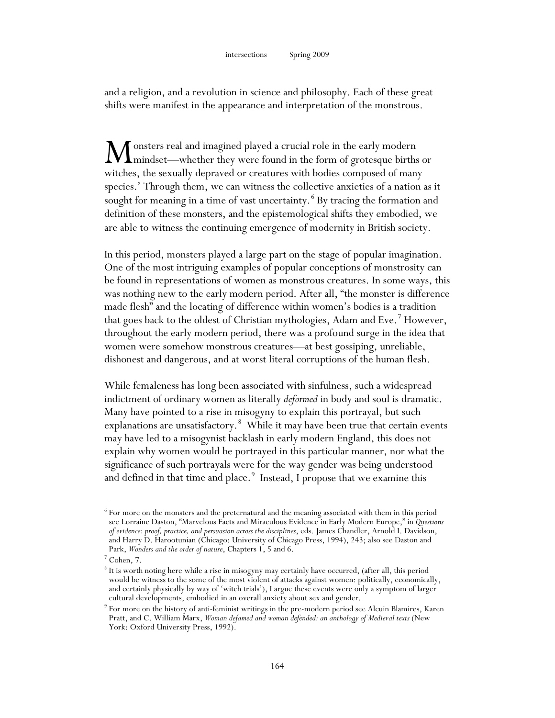and a religion, and a revolution in science and philosophy. Each of these great shifts were manifest in the appearance and interpretation of the monstrous.

onsters real and imagined played a crucial role in the early modern mindset—whether they were found in the form of grotesque births or witches, the sexually depraved or creatures with bodies composed of many species.' Through them, we can witness the collective anxieties of a nation as it sought for meaning in a time of vast uncertainty.<sup>6</sup> By tracing the formation and definition of these monsters, and the epistemological shifts they embodied, we are able to witness the continuing emergence of modernity in British society. M

In this period, monsters played a large part on the stage of popular imagination. One of the most intriguing examples of popular conceptions of monstrosity can be found in representations of women as monstrous creatures. In some ways, this was nothing new to the early modern period. After all, "the monster is difference made flesh" and the locating of difference within women's bodies is a tradition that goes back to the oldest of Christian mythologies, Adam and Eve.<sup>7</sup> However, throughout the early modern period, there was a profound surge in the idea that women were somehow monstrous creatures—at best gossiping, unreliable, dishonest and dangerous, and at worst literal corruptions of the human flesh.

While femaleness has long been associated with sinfulness, such a widespread indictment of ordinary women as literally *deformed* in body and soul is dramatic. Many have pointed to a rise in misogyny to explain this portrayal, but such explanations are unsatisfactory.<sup>8</sup> While it may have been true that certain events may have led to a misogynist backlash in early modern England, this does not explain why women would be portrayed in this particular manner, nor what the significance of such portrayals were for the way gender was being understood and defined in that time and place.<sup>9</sup> Instead, I propose that we examine this

 $6$  For more on the monsters and the preternatural and the meaning associated with them in this period see Lorraine Daston, "Marvelous Facts and Miraculous Evidence in Early Modern Europe," in *Questions of evidence: proof, practice, and persuasion across the disciplines*, eds. James Chandler, Arnold I. Davidson, and Harry D. Harootunian (Chicago: University of Chicago Press, 1994), 243; also see Daston and Park, *Wonders and the order of nature*, Chapters 1, 5 and 6.

<sup>7</sup> Cohen, 7.

<sup>8</sup> It is worth noting here while a rise in misogyny may certainly have occurred, (after all, this period would be witness to the some of the most violent of attacks against women: politically, economically, and certainly physically by way of 'witch trials'), I argue these events were only a symptom of larger cultural developments, embodied in an overall anxiety about sex and gender.

<sup>9</sup> For more on the history of anti-feminist writings in the pre-modern period see Alcuin Blamires, Karen Pratt, and C. William Marx, *Woman defamed and woman defended: an anthology of Medieval texts* (New York: Oxford University Press, 1992).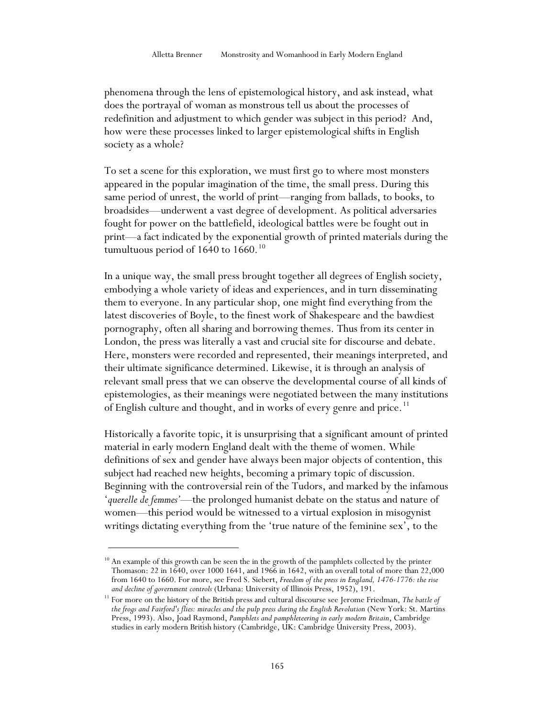phenomena through the lens of epistemological history, and ask instead, what does the portrayal of woman as monstrous tell us about the processes of redefinition and adjustment to which gender was subject in this period? And, how were these processes linked to larger epistemological shifts in English society as a whole?

To set a scene for this exploration, we must first go to where most monsters appeared in the popular imagination of the time, the small press. During this same period of unrest, the world of print—ranging from ballads, to books, to broadsides—underwent a vast degree of development. As political adversaries fought for power on the battlefield, ideological battles were be fought out in print—a fact indicated by the exponential growth of printed materials during the tumultuous period of 1640 to 1660. $^{10}$ 

In a unique way, the small press brought together all degrees of English society, embodying a whole variety of ideas and experiences, and in turn disseminating them to everyone. In any particular shop, one might find everything from the latest discoveries of Boyle, to the finest work of Shakespeare and the bawdiest pornography, often all sharing and borrowing themes. Thus from its center in London, the press was literally a vast and crucial site for discourse and debate. Here, monsters were recorded and represented, their meanings interpreted, and their ultimate significance determined. Likewise, it is through an analysis of relevant small press that we can observe the developmental course of all kinds of epistemologies, as their meanings were negotiated between the many institutions of English culture and thought, and in works of every genre and price.<sup>11</sup>

Historically a favorite topic, it is unsurprising that a significant amount of printed material in early modern England dealt with the theme of women. While definitions of sex and gender have always been major objects of contention, this subject had reached new heights, becoming a primary topic of discussion. Beginning with the controversial rein of the Tudors, and marked by the infamous '*querelle de femmes'*—the prolonged humanist debate on the status and nature of women—this period would be witnessed to a virtual explosion in misogynist writings dictating everything from the 'true nature of the feminine sex', to the

 $10<sup>10</sup>$  An example of this growth can be seen the in the growth of the pamphlets collected by the printer Thomason: 22 in 1640, over 1000 1641, and 1966 in 1642, with an overall total of more than 22,000 from 1640 to 1660. For more, see Fred S. Siebert, *Freedom of the press in England, 1476-1776: the rise and decline of government controls* (Urbana: University of Illinois Press, 1952), 191.

<sup>11</sup> For more on the history of the British press and cultural discourse see Jerome Friedman, *The battle of the frogs and Fairford's flies: miracles and the pulp press during the English Revolution* (New York: St. Martins Press, 1993). Also, Joad Raymond, *Pamphlets and pamphleteering in early modern Britain*, Cambridge studies in early modern British history (Cambridge, UK: Cambridge University Press, 2003).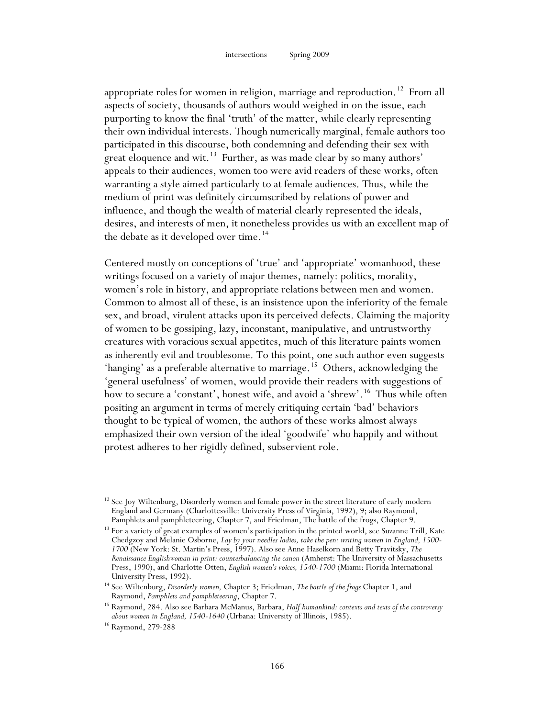appropriate roles for women in religion, marriage and reproduction.<sup>12</sup> From all aspects of society, thousands of authors would weighed in on the issue, each purporting to know the final 'truth' of the matter, while clearly representing their own individual interests. Though numerically marginal, female authors too participated in this discourse, both condemning and defending their sex with great eloquence and wit.<sup>13</sup> Further, as was made clear by so many authors' appeals to their audiences, women too were avid readers of these works, often warranting a style aimed particularly to at female audiences. Thus, while the medium of print was definitely circumscribed by relations of power and influence, and though the wealth of material clearly represented the ideals, desires, and interests of men, it nonetheless provides us with an excellent map of the debate as it developed over time.<sup>14</sup>

Centered mostly on conceptions of 'true' and 'appropriate' womanhood, these writings focused on a variety of major themes, namely: politics, morality, women's role in history, and appropriate relations between men and women. Common to almost all of these, is an insistence upon the inferiority of the female sex, and broad, virulent attacks upon its perceived defects. Claiming the majority of women to be gossiping, lazy, inconstant, manipulative, and untrustworthy creatures with voracious sexual appetites, much of this literature paints women as inherently evil and troublesome. To this point, one such author even suggests 'hanging' as a preferable alternative to marriage.<sup>15</sup> Others, acknowledging the 'general usefulness' of women, would provide their readers with suggestions of how to secure a 'constant', honest wife, and avoid a 'shrew'.<sup>16</sup> Thus while often positing an argument in terms of merely critiquing certain 'bad' behaviors thought to be typical of women, the authors of these works almost always emphasized their own version of the ideal 'goodwife' who happily and without protest adheres to her rigidly defined, subservient role.

 $12$  See Joy Wiltenburg, Disorderly women and female power in the street literature of early modern England and Germany (Charlottesville: University Press of Virginia, 1992), 9; also Raymond,

Pamphlets and pamphleteering, Chapter 7, and Friedman, The battle of the frogs, Chapter 9.  $^{13}$  For a variety of great examples of women's participation in the printed world, see Suzanne Trill, Kate Chedgzoy and Melanie Osborne, *Lay by your needles ladies, take the pen: writing women in England, 1500- <sup>1700</sup>* (New York: St. Martin's Press, 1997). Also see Anne Haselkorn and Betty Travitsky, *The Renaissance Englishwoman in print: counterbalancing the canon* (Amherst: The University of Massachusetts Press, 1990), and Charlotte Otten, *English women's voices, 1540-1700* (Miami: Florida International University Press, 1992).

<sup>14</sup> See Wiltenburg, *Disorderly women,* Chapter 3; Friedman, *The battle of the frogs* Chapter 1, and Raymond, *Pamphlets and pamphleteering*, Chapter 7.

<sup>15</sup> Raymond, 284. Also see Barbara McManus, Barbara, *Half humankind: contexts and texts of the controversy about women in England, 1540-1640* (Urbana: University of Illinois, 1985).

<sup>16</sup> Raymond, 279-288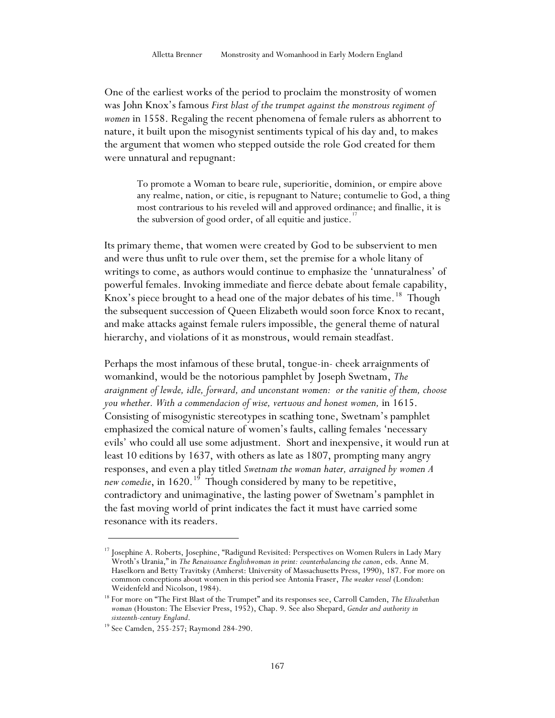One of the earliest works of the period to proclaim the monstrosity of women was John Knox's famous *First blast of the trumpet against the monstrous regiment of women* in 1558. Regaling the recent phenomena of female rulers as abhorrent to nature, it built upon the misogynist sentiments typical of his day and, to makes the argument that women who stepped outside the role God created for them were unnatural and repugnant:

To promote a Woman to beare rule, superioritie, dominion, or empire above any realme, nation, or citie, is repugnant to Nature; contumelie to God, a thing most contrarious to his reveled will and approved ordinance; and finallie, it is the subversion of good order, of all equitie and justice.<sup>1</sup>

Its primary theme, that women were created by God to be subservient to men and were thus unfit to rule over them, set the premise for a whole litany of writings to come, as authors would continue to emphasize the 'unnaturalness' of powerful females. Invoking immediate and fierce debate about female capability, Knox's piece brought to a head one of the major debates of his time.<sup>18</sup> Though the subsequent succession of Queen Elizabeth would soon force Knox to recant, and make attacks against female rulers impossible, the general theme of natural hierarchy, and violations of it as monstrous, would remain steadfast.

Perhaps the most infamous of these brutal, tongue-in- cheek arraignments of womankind, would be the notorious pamphlet by Joseph Swetnam, *The araignment of lewde, idle, forward, and unconstant women: or the vanitie of them, choose you whether. With a commendacion of wise, vertuous and honest women,* in 1615. Consisting of misogynistic stereotypes in scathing tone, Swetnam's pamphlet emphasized the comical nature of women's faults, calling females 'necessary evils' who could all use some adjustment. Short and inexpensive, it would run at least 10 editions by 1637, with others as late as 1807, prompting many angry responses, and even a play titled *Swetnam the woman hater, arraigned by women A*  new comedie, in 1620.<sup>19</sup> Though considered by many to be repetitive, contradictory and unimaginative, the lasting power of Swetnam's pamphlet in the fast moving world of print indicates the fact it must have carried some resonance with its readers.

<u>.</u>

<sup>&</sup>lt;sup>17</sup> Josephine A. Roberts, Josephine, "Radigund Revisited: Perspectives on Women Rulers in Lady Mary Wroth's Urania," in *The Renaissance Englishwoman in print: counterbalancing the canon*, eds. Anne M. Haselkorn and Betty Travitsky (Amherst: University of Massachusetts Press, 1990), 187. For more on common conceptions about women in this period see Antonia Fraser, *The weaker vessel* (London: Weidenfeld and Nicolson, 1984).

<sup>18</sup> For more on "The First Blast of the Trumpet" and its responses see, Carroll Camden, *The Elizabethan woman* (Houston: The Elsevier Press, 1952), Chap. 9. See also Shepard, *Gender and authority in* 

<sup>&</sup>lt;sup>19</sup> See Camden, 255-257; Raymond 284-290.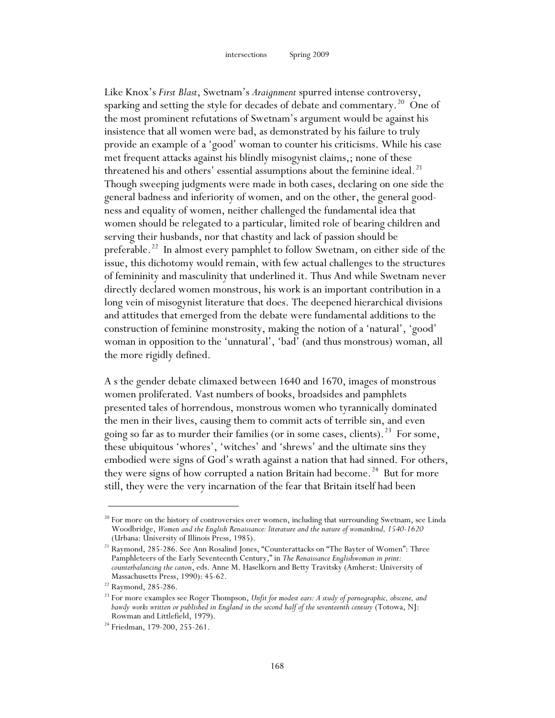Like Knox's *First Blast*, Swetnam's *Araignment* spurred intense controversy, sparking and setting the style for decades of debate and commentary.<sup>20</sup> One of the most prominent refutations of Swetnam's argument would be against his insistence that all women were bad, as demonstrated by his failure to truly provide an example of a 'good' woman to counter his criticisms. While his case met frequent attacks against his blindly misogynist claims,; none of these threatened his and others' essential assumptions about the feminine ideal.<sup>21</sup> Though sweeping judgments were made in both cases, declaring on one side the general badness and inferiority of women, and on the other, the general goodness and equality of women, neither challenged the fundamental idea that women should be relegated to a particular, limited role of bearing children and serving their husbands, nor that chastity and lack of passion should be preferable.<sup>22</sup> In almost every pamphlet to follow Swetnam, on either side of the issue, this dichotomy would remain, with few actual challenges to the structures of femininity and masculinity that underlined it. Thus And while Swetnam never directly declared women monstrous, his work is an important contribution in a long vein of misogynist literature that does. The deepened hierarchical divisions and attitudes that emerged from the debate were fundamental additions to the construction of feminine monstrosity, making the notion of a 'natural', 'good' woman in opposition to the 'unnatural', 'bad' (and thus monstrous) woman, all the more rigidly defined.

A s the gender debate climaxed between 1640 and 1670, images of monstrous women proliferated. Vast numbers of books, broadsides and pamphlets presented tales of horrendous, monstrous women who tyrannically dominated the men in their lives, causing them to commit acts of terrible sin, and even going so far as to murder their families (or in some cases, clients).<sup>23</sup> For some, these ubiquitous 'whores', 'witches' and 'shrews' and the ultimate sins they embodied were signs of God's wrath against a nation that had sinned. For others, they were signs of how corrupted a nation Britain had become.<sup>24</sup> But for more still, they were the very incarnation of the fear that Britain itself had been

<u>.</u>

 $^{20}$  For more on the history of controversies over women, including that surrounding Swetnam, see Linda Woodbridge, *Women and the English Renaissance: literature and the nature of womankind, 1540-1620* (Urbana: University of Illinois Press, 1985).

<sup>21</sup> Raymond, 285-286. See Ann Rosalind Jones, "Counterattacks on "The Bayter of Women": Three Pamphleteers of the Early Seventeenth Century," in *The Renaissance Englishwoman in print: counterbalancing the canon*, eds. Anne M. Haselkorn and Betty Travitsky (Amherst: University of

Massachusetts Press, 1990): 45-62.<br><sup>22</sup> Raymond, 285-286.<br><sup>23</sup> For more examples see Roger Thompson, *Unfit for modest ears: A study of pornographic, obscene, and bawdy works written or published in England in the second half of the seventeenth century* (Totowa, NJ: Rowman and Littlefield, 1979).

<sup>&</sup>lt;sup>24</sup> Friedman, 179-200, 255-261.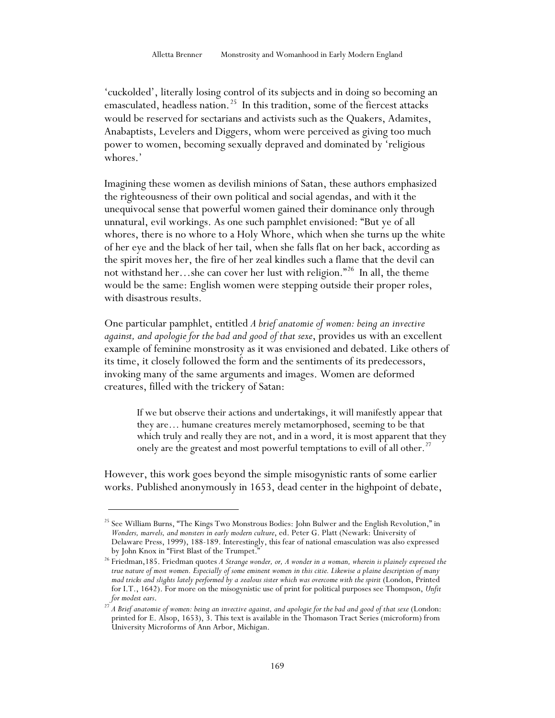'cuckolded', literally losing control of its subjects and in doing so becoming an emasculated, headless nation.<sup>25</sup> In this tradition, some of the fiercest attacks would be reserved for sectarians and activists such as the Quakers, Adamites, Anabaptists, Levelers and Diggers, whom were perceived as giving too much power to women, becoming sexually depraved and dominated by 'religious whores.'

Imagining these women as devilish minions of Satan, these authors emphasized the righteousness of their own political and social agendas, and with it the unequivocal sense that powerful women gained their dominance only through unnatural, evil workings. As one such pamphlet envisioned: "But ye of all whores, there is no whore to a Holy Whore, which when she turns up the white of her eye and the black of her tail, when she falls flat on her back, according as the spirit moves her, the fire of her zeal kindles such a flame that the devil can not withstand her…she can cover her lust with religion."<sup>26</sup> In all, the theme would be the same: English women were stepping outside their proper roles, with disastrous results.

One particular pamphlet, entitled *A brief anatomie of women: being an invective against, and apologie for the bad and good of that sexe*, provides us with an excellent example of feminine monstrosity as it was envisioned and debated. Like others of its time, it closely followed the form and the sentiments of its predecessors, invoking many of the same arguments and images. Women are deformed creatures, filled with the trickery of Satan:

If we but observe their actions and undertakings, it will manifestly appear that they are… humane creatures merely metamorphosed, seeming to be that which truly and really they are not, and in a word, it is most apparent that they onely are the greatest and most powerful temptations to evill of all other.<sup>27</sup>

However, this work goes beyond the simple misogynistic rants of some earlier works. Published anonymously in 1653, dead center in the highpoint of debate,

<sup>&</sup>lt;sup>25</sup> See William Burns, "The Kings Two Monstrous Bodies: John Bulwer and the English Revolution," in *Wonders, marvels, and monsters in early modern culture*, ed. Peter G. Platt (Newark: University of Delaware Press, 1999), 188-189. Interestingly, this fear of national emasculation was also expressed by John Knox in "First Blast of the Trumpet."

<sup>26</sup> Friedman,185. Friedman quotes *A Strange wonder, or, A wonder in a woman, wherein is plainely expressed the true nature of most women. Especially of some eminent women in this citie. Likewise a plaine description of many mad tricks and slights lately performed by a zealous sister which was overcome with the spirit* (London, Printed for I.T., 1642). For more on the misogynistic use of print for political purposes see Thompson, *Unfit* 

*for modest ears*. 27 *A Brief anatomie of women: being an invective against, and apologie for the bad and good of that sexe* (London: printed for E. Alsop, 1653), 3. This text is available in the Thomason Tract Series (microform) from University Microforms of Ann Arbor, Michigan.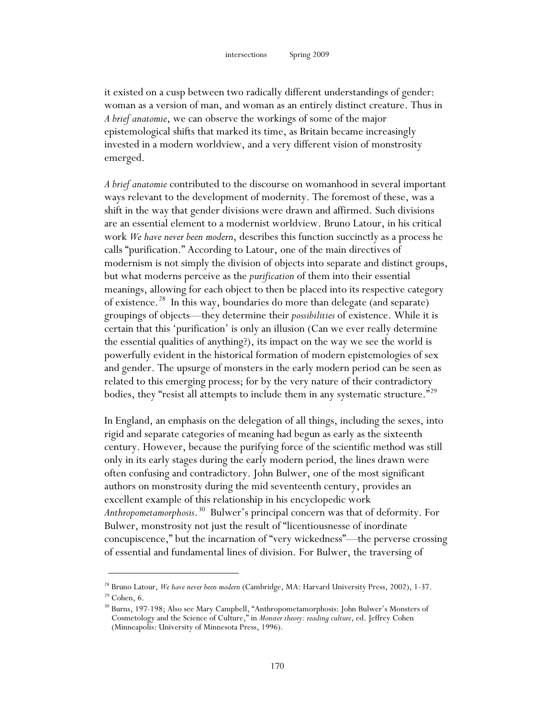it existed on a cusp between two radically different understandings of gender: woman as a version of man, and woman as an entirely distinct creature. Thus in *A brief anatomie*, we can observe the workings of some of the major epistemological shifts that marked its time, as Britain became increasingly invested in a modern worldview, and a very different vision of monstrosity emerged.

*A brief anatomie* contributed to the discourse on womanhood in several important ways relevant to the development of modernity. The foremost of these, was a shift in the way that gender divisions were drawn and affirmed. Such divisions are an essential element to a modernist worldview. Bruno Latour, in his critical work *We have never been modern*, describes this function succinctly as a process he calls "purification." According to Latour, one of the main directives of modernism is not simply the division of objects into separate and distinct groups, but what moderns perceive as the *purification* of them into their essential meanings, allowing for each object to then be placed into its respective category of existence.<sup>28</sup> In this way, boundaries do more than delegate (and separate) groupings of objects—they determine their *possibilities* of existence. While it is certain that this 'purification' is only an illusion (Can we ever really determine the essential qualities of anything?), its impact on the way we see the world is powerfully evident in the historical formation of modern epistemologies of sex and gender. The upsurge of monsters in the early modern period can be seen as related to this emerging process; for by the very nature of their contradictory bodies, they "resist all attempts to include them in any systematic structure."<sup>29</sup>

In England, an emphasis on the delegation of all things, including the sexes, into rigid and separate categories of meaning had begun as early as the sixteenth century. However, because the purifying force of the scientific method was still only in its early stages during the early modern period, the lines drawn were often confusing and contradictory. John Bulwer, one of the most significant authors on monstrosity during the mid seventeenth century, provides an excellent example of this relationship in his encyclopedic work *Anthropometamorphosis*. 30 Bulwer's principal concern was that of deformity. For Bulwer, monstrosity not just the result of "licentiousnesse of inordinate concupiscence," but the incarnation of "very wickedness"—the perverse crossing of essential and fundamental lines of division. For Bulwer, the traversing of

<sup>28</sup> Bruno Latour, *We have never been modern* (Cambridge, MA: Harvard University Press, 2002), 1-37.  $29$  Cohen, 6.

<sup>30</sup> Burns, 197-198; Also see Mary Campbell, "Anthropometamorphosis: John Bulwer's Monsters of Cosmetology and the Science of Culture," in *Monster theory: reading culture*, ed. Jeffrey Cohen (Minneapolis: University of Minnesota Press, 1996).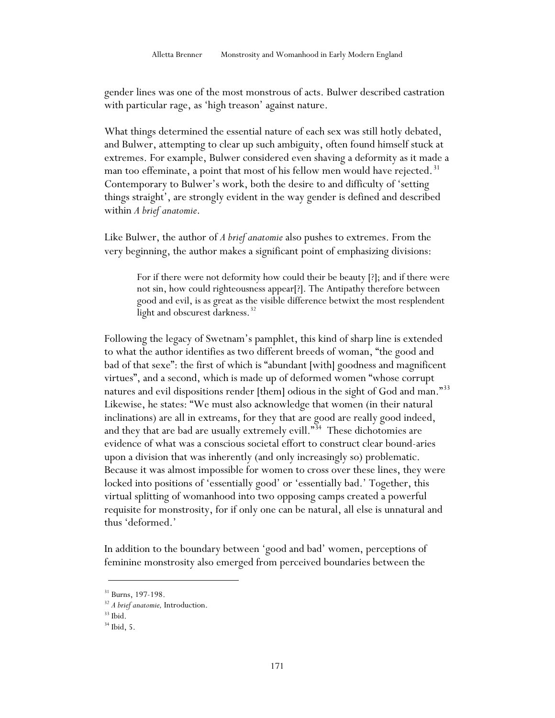gender lines was one of the most monstrous of acts. Bulwer described castration with particular rage, as 'high treason' against nature.

What things determined the essential nature of each sex was still hotly debated, and Bulwer, attempting to clear up such ambiguity, often found himself stuck at extremes. For example, Bulwer considered even shaving a deformity as it made a man too effeminate, a point that most of his fellow men would have rejected.<sup>31</sup> Contemporary to Bulwer's work, both the desire to and difficulty of 'setting things straight', are strongly evident in the way gender is defined and described within *A brief anatomie*.

Like Bulwer, the author of *A brief anatomie* also pushes to extremes. From the very beginning, the author makes a significant point of emphasizing divisions:

For if there were not deformity how could their be beauty [?]; and if there were not sin, how could righteousness appear[?]. The Antipathy therefore between good and evil, is as great as the visible difference betwixt the most resplendent light and obscurest darkness.<sup>32</sup>

Following the legacy of Swetnam's pamphlet, this kind of sharp line is extended to what the author identifies as two different breeds of woman, "the good and bad of that sexe": the first of which is "abundant [with] goodness and magnificent virtues", and a second, which is made up of deformed women "whose corrupt natures and evil dispositions render [them] odious in the sight of God and man."<sup>33</sup> Likewise, he states: "We must also acknowledge that women (in their natural inclinations) are all in extreams, for they that are good are really good indeed, and they that are bad are usually extremely evill."<sup>34</sup> These dichotomies are evidence of what was a conscious societal effort to construct clear bound-aries upon a division that was inherently (and only increasingly so) problematic. Because it was almost impossible for women to cross over these lines, they were locked into positions of 'essentially good' or 'essentially bad.' Together, this virtual splitting of womanhood into two opposing camps created a powerful requisite for monstrosity, for if only one can be natural, all else is unnatural and thus 'deformed.'

In addition to the boundary between 'good and bad' women, perceptions of feminine monstrosity also emerged from perceived boundaries between the

<sup>&</sup>lt;sup>31</sup> Burns, 197-198.<br><sup>32</sup> *A brief anatomie*, Introduction.<br><sup>33</sup> Ibid

 $34$  Ibid, 5.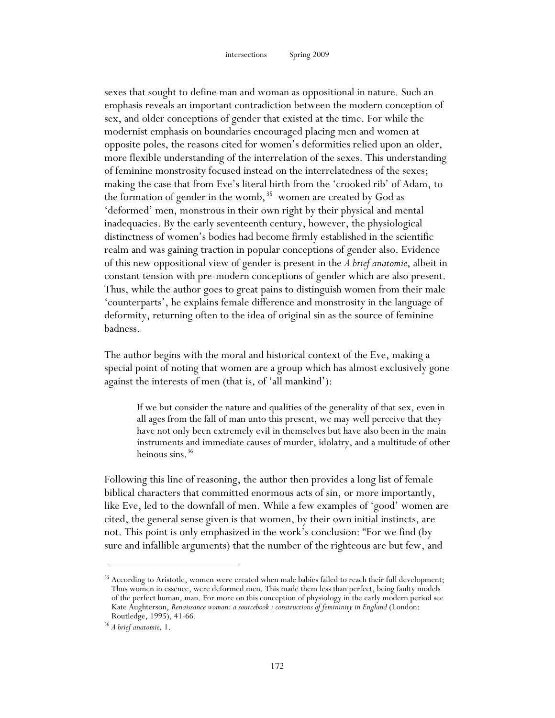sexes that sought to define man and woman as oppositional in nature. Such an emphasis reveals an important contradiction between the modern conception of sex, and older conceptions of gender that existed at the time. For while the modernist emphasis on boundaries encouraged placing men and women at opposite poles, the reasons cited for women's deformities relied upon an older, more flexible understanding of the interrelation of the sexes. This understanding of feminine monstrosity focused instead on the interrelatedness of the sexes; making the case that from Eve's literal birth from the 'crooked rib' of Adam, to the formation of gender in the womb,<sup>35</sup> women are created by God as 'deformed' men, monstrous in their own right by their physical and mental inadequacies. By the early seventeenth century, however, the physiological distinctness of women's bodies had become firmly established in the scientific realm and was gaining traction in popular conceptions of gender also. Evidence of this new oppositional view of gender is present in the *A brief anatomie*, albeit in constant tension with pre-modern conceptions of gender which are also present. Thus, while the author goes to great pains to distinguish women from their male 'counterparts', he explains female difference and monstrosity in the language of deformity, returning often to the idea of original sin as the source of feminine badness.

The author begins with the moral and historical context of the Eve, making a special point of noting that women are a group which has almost exclusively gone against the interests of men (that is, of 'all mankind'):

If we but consider the nature and qualities of the generality of that sex, even in all ages from the fall of man unto this present, we may well perceive that they have not only been extremely evil in themselves but have also been in the main instruments and immediate causes of murder, idolatry, and a multitude of other heinous sins. 36

Following this line of reasoning, the author then provides a long list of female biblical characters that committed enormous acts of sin, or more importantly, like Eve, led to the downfall of men. While a few examples of 'good' women are cited, the general sense given is that women, by their own initial instincts, are not. This point is only emphasized in the work's conclusion: "For we find (by sure and infallible arguments) that the number of the righteous are but few, and

<u>.</u>

<sup>&</sup>lt;sup>35</sup> According to Aristotle, women were created when male babies failed to reach their full development; Thus women in essence, were deformed men. This made them less than perfect, being faulty models of the perfect human, man. For more on this conception of physiology in the early modern period see Kate Aughterson, *Renaissance woman: a sourcebook : constructions of femininity in England* (London: Routledge, 1995), 41-66. 36 *A brief anatomie,* 1.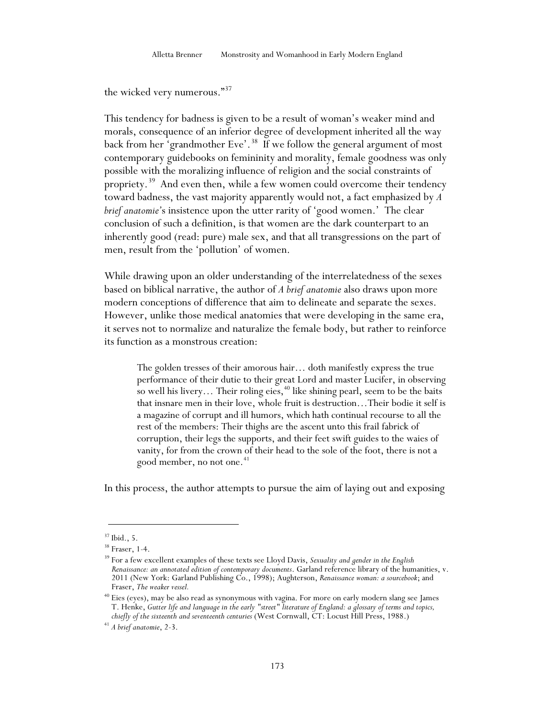the wicked very numerous."<sup>37</sup>

This tendency for badness is given to be a result of woman's weaker mind and morals, consequence of an inferior degree of development inherited all the way back from her 'grandmother Eve'.<sup>38</sup> If we follow the general argument of most contemporary guidebooks on femininity and morality, female goodness was only possible with the moralizing influence of religion and the social constraints of propriety.<sup>39</sup> And even then, while a few women could overcome their tendency toward badness, the vast majority apparently would not, a fact emphasized by *A brief anatomie'*s insistence upon the utter rarity of 'good women.' The clear conclusion of such a definition, is that women are the dark counterpart to an inherently good (read: pure) male sex, and that all transgressions on the part of men, result from the 'pollution' of women.

While drawing upon an older understanding of the interrelatedness of the sexes based on biblical narrative, the author of *A brief anatomie* also draws upon more modern conceptions of difference that aim to delineate and separate the sexes. However, unlike those medical anatomies that were developing in the same era, it serves not to normalize and naturalize the female body, but rather to reinforce its function as a monstrous creation:

The golden tresses of their amorous hair… doth manifestly express the true performance of their dutie to their great Lord and master Lucifer, in observing so well his livery... Their roling eies,  $40$  like shining pearl, seem to be the baits that insnare men in their love, whole fruit is destruction…Their bodie it self is a magazine of corrupt and ill humors, which hath continual recourse to all the rest of the members: Their thighs are the ascent unto this frail fabrick of corruption, their legs the supports, and their feet swift guides to the waies of vanity, for from the crown of their head to the sole of the foot, there is not a good member, no not one.<sup>41</sup>

In this process, the author attempts to pursue the aim of laying out and exposing

 $37$  Ibid., 5.

<sup>&</sup>lt;sup>38</sup> Fraser, 1-4.<br><sup>39</sup> For a few excellent examples of these texts see Lloyd Davis, *Sexuality and gender in the English Renaissance: an annotated edition of contemporary documents*. Garland reference library of the humanities, v. 2011 (New York: Garland Publishing Co., 1998); Aughterson, *Renaissance woman: a sourcebook*; and Fraser, *The weaker vessel*.

<sup>&</sup>lt;sup>40</sup> Eies (eyes), may be also read as synonymous with vagina. For more on early modern slang see James T. Henke, *Gutter life and language in the early "street" literature of England: a glossary of terms and topics, chiefly of the sixteenth and seventeenth centuries* (West Cornwall, CT: Locust Hill Press, 1988.)

<sup>41</sup> *A brief anatomie*, 2-3.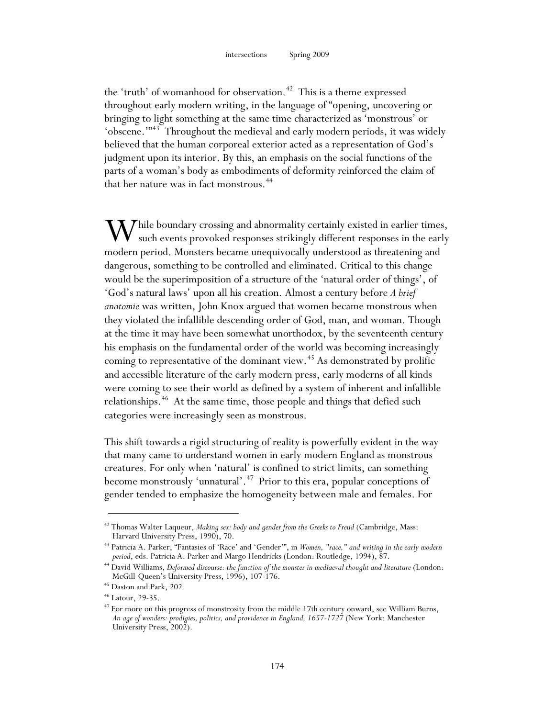the 'truth' of womanhood for observation.<sup>42</sup> This is a theme expressed throughout early modern writing, in the language of "opening, uncovering or bringing to light something at the same time characterized as 'monstrous' or 'obscene.'"<sup>43</sup> Throughout the medieval and early modern periods, it was widely believed that the human corporeal exterior acted as a representation of God's judgment upon its interior. By this, an emphasis on the social functions of the parts of a woman's body as embodiments of deformity reinforced the claim of that her nature was in fact monstrous.<sup>44</sup>

While boundary crossing and abnormality certainly existed in earlier times,<br>such events provoked responses strikingly different responses in the early such events provoked responses strikingly different responses in the early modern period. Monsters became unequivocally understood as threatening and dangerous, something to be controlled and eliminated. Critical to this change would be the superimposition of a structure of the 'natural order of things', of 'God's natural laws' upon all his creation. Almost a century before *A brief anatomie* was written, John Knox argued that women became monstrous when they violated the infallible descending order of God, man, and woman. Though at the time it may have been somewhat unorthodox, by the seventeenth century his emphasis on the fundamental order of the world was becoming increasingly coming to representative of the dominant view.<sup>45</sup> As demonstrated by prolific and accessible literature of the early modern press, early moderns of all kinds were coming to see their world as defined by a system of inherent and infallible relationships.<sup>46</sup> At the same time, those people and things that defied such categories were increasingly seen as monstrous.

This shift towards a rigid structuring of reality is powerfully evident in the way that many came to understand women in early modern England as monstrous creatures. For only when 'natural' is confined to strict limits, can something become monstrously 'unnatural'.<sup>47</sup> Prior to this era, popular conceptions of gender tended to emphasize the homogeneity between male and females. For

<sup>42</sup> Thomas Walter Laqueur, *Making sex: body and gender from the Greeks to Freud* (Cambridge, Mass: Harvard University Press, 1990), 70.

<sup>43</sup> Patricia A. Parker, "Fantasies of 'Race' and 'Gender'", in *Women, "race," and writing in the early modern period*, eds. Patricia A. Parker and Margo Hendricks (London: Routledge, 1994), 87.

<sup>&</sup>lt;sup>44</sup> David Williams, *Deformed discourse: the function of the monster in mediaeval thought and literature* (London: McGill-Queen's University Press, 1996), 107-176. 45 Daston and Park, 202

<sup>46</sup> Latour, 29-35.

<sup>&</sup>lt;sup>47</sup> For more on this progress of monstrosity from the middle 17th century onward, see William Burns, *An age of wonders: prodigies, politics, and providence in England, 1657-1727* (New York: Manchester University Press, 2002).